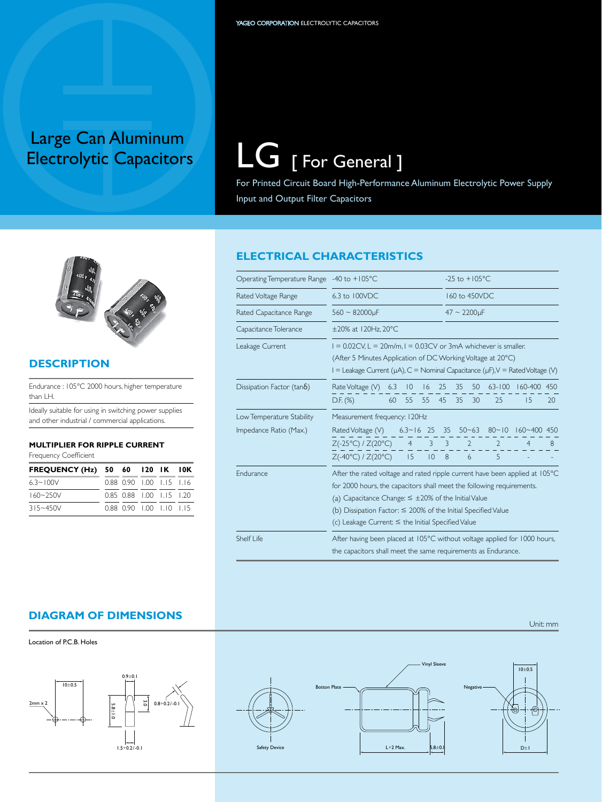# Large Can Aluminum<br>Electrolytic Capacitors

 $LG$  [ For General ]

For Printed Circuit Board High-Performance Aluminum Electrolytic Power Supply Input and Output Filter Capacitors

# **ELECTRICAL CHARACTERISTICS**

| Operating Temperature Range -40 to +105°C |                                                                                                                                                                                                                                                                                                                                                       |    |    |    |    | $-25$ to $+105$ °C |                   |               |                |    |  |
|-------------------------------------------|-------------------------------------------------------------------------------------------------------------------------------------------------------------------------------------------------------------------------------------------------------------------------------------------------------------------------------------------------------|----|----|----|----|--------------------|-------------------|---------------|----------------|----|--|
| Rated Voltage Range                       | 6.3 to 100VDC                                                                                                                                                                                                                                                                                                                                         |    |    |    |    | 160 to 450VDC      |                   |               |                |    |  |
| Rated Capacitance Range                   | $560 - 82000$ uF                                                                                                                                                                                                                                                                                                                                      |    |    |    |    |                    | $47 \sim 2200$ uF |               |                |    |  |
| Capacitance Tolerance                     | ±20% at 120Hz, 20°C                                                                                                                                                                                                                                                                                                                                   |    |    |    |    |                    |                   |               |                |    |  |
| Leakage Current                           | $I = 0.02$ CV, L = 20m/m, I = 0.03CV or 3mA whichever is smaller.<br>(After 5 Minutes Application of DC Working Voltage at 20°C)<br>$I =$ Leakage Current ( $\mu$ A), C = Nominal Capacitance ( $\mu$ F), V = Rated Voltage (V)                                                                                                                       |    |    |    |    |                    |                   |               |                |    |  |
| Dissipation Factor (tan 6)                | Rate Voltage $(V)$ 6.3 10                                                                                                                                                                                                                                                                                                                             |    |    | 16 | 25 | 35 50              |                   | $63 - 100$    | 160-400 450    |    |  |
|                                           | $D.F.$ (%)                                                                                                                                                                                                                                                                                                                                            | 60 | 55 | 55 | 45 | 35                 | 30                | 25            | 15             | 20 |  |
| Low Temperature Stability                 | Measurement frequency: 120Hz                                                                                                                                                                                                                                                                                                                          |    |    |    |    |                    |                   |               |                |    |  |
| Impedance Ratio (Max.)                    | Rated Voltage (V) 6.3~16 25 35 50~63 80~10 160~400 450                                                                                                                                                                                                                                                                                                |    |    |    |    |                    |                   |               |                |    |  |
|                                           | $Z(-25°C) / Z(20°C)$ 4 3 3 2                                                                                                                                                                                                                                                                                                                          |    |    |    |    |                    |                   | $\mathcal{L}$ | $\overline{4}$ | 8  |  |
|                                           | $Z(-40^{\circ}C)/Z(20^{\circ}C)$ 15                                                                                                                                                                                                                                                                                                                   |    |    | 10 | 8  |                    | 6                 | 5             |                |    |  |
| <b>Endurance</b>                          | After the rated voltage and rated ripple current have been applied at 105°C<br>for 2000 hours, the capacitors shall meet the following requirements.<br>(a) Capacitance Change: $\leq \pm 20\%$ of the Initial Value<br>(b) Dissipation Factor: $\leq$ 200% of the Initial Specified Value<br>(c) Leakage Current: $\leq$ the Initial Specified Value |    |    |    |    |                    |                   |               |                |    |  |
| Shelf Life                                | After having been placed at 105°C without voltage applied for 1000 hours,<br>the capacitors shall meet the same requirements as Endurance.                                                                                                                                                                                                            |    |    |    |    |                    |                   |               |                |    |  |

#### **diagram of dimensions**







Unit: mm



#### **Description**

Endurance : 105°C 2000 hours, higher temperature than LH.

Ideally suitable for using in switching power supplies and other industrial / commercial applications.

#### **MULTIPLIER FOR RIPPLE CURRENT**

Frequency Coefficient

| <b>FREQUENCY (Hz) 50 60 120 IK 10K</b> |                          |  |  |
|----------------------------------------|--------------------------|--|--|
| $6.3 - 100V$                           | 0.88 0.90 1.00 1.15 1.16 |  |  |
| $160 - 250V$                           | 0.85 0.88 1.00 1.15 1.20 |  |  |
| $315 - 450V$                           | 0.88 0.90 1.00 1.10 1.15 |  |  |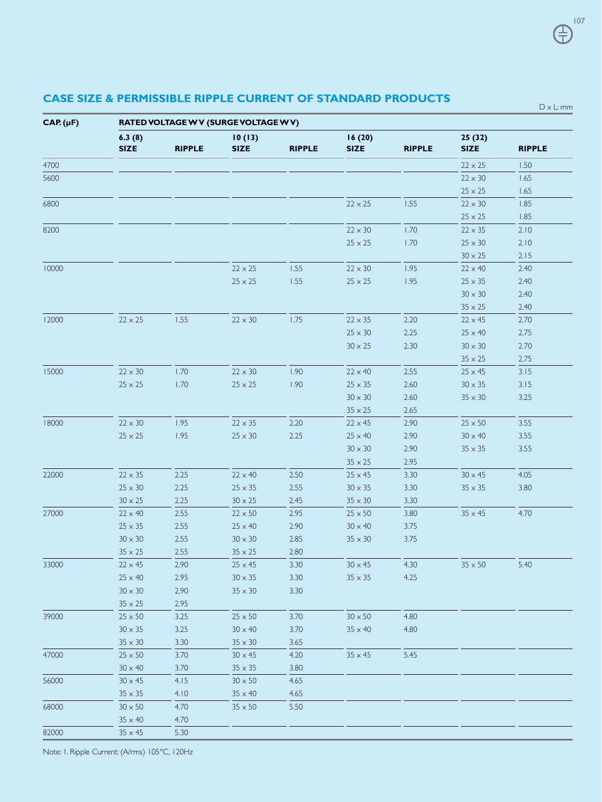| 16(20)<br>6.3(8)<br>10(13)<br>25 (32)<br><b>SIZE</b><br><b>SIZE</b><br><b>RIPPLE</b><br><b>RIPPLE</b><br><b>RIPPLE</b><br><b>SIZE</b><br><b>RIPPLE</b><br><b>SIZE</b><br>1.50<br>$22 \times 25$<br>$22 \times 30$<br>1.65<br>1.65<br>$25 \times 25$<br>$22 \times 25$<br>$22\times30$<br>1.85<br>1.55<br>$25 \times 25$<br>1.85<br>$22 \times 30$<br>1.70<br>$22 \times 35$<br>2.10<br>$25 \times 25$<br>1.70<br>$25 \times 30$<br>2.10<br>$30 \times 25$<br>2.15<br>$22 \times 25$<br>1.95<br>2.40<br>1.55<br>$22 \times 30$<br>$22 \times 40$<br>$25\times 25$<br>1.55<br>1.95<br>$25 \times 25$<br>$25 \times 35$<br>2.40<br>$30 \times 30$<br>2.40<br>$35 \times 25$<br>2.40<br>1.55<br>$22\times30$<br>1.75<br>$22 \times 35$<br>2.20<br>2.70<br>$22 \times 25$<br>$22 \times 45$<br>$25 \times 30$<br>2.25<br>2.75<br>$25 \times 40$<br>2.30<br>$30 \times 30$<br>2.70<br>$30 \times 25$<br>2.75<br>$35 \times 25$<br>$22\times30$<br>1.70<br>$22\times30$<br>1.90<br>2.55<br>3.15<br>$22 \times 40$<br>$25 \times 45$<br>1.70<br>1.90<br>2.60<br>$25 \times 25$<br>$25 \times 25$<br>$25 \times 35$<br>$30 \times 35$<br>3.15<br>$30 \times 30$<br>2.60<br>$35 \times 30$<br>3.25<br>2.65<br>$35 \times 25$<br>$22 \times 30$<br>1.95<br>$22 \times 35$<br>2.20<br>$22 \times 45$<br>2.90<br>$25 \times 50$<br>3.55<br>$25 \times 25$<br>1.95<br>2.25<br>2.90<br>$30 \times 40$<br>3.55<br>$25 \times 30$<br>$25 \times 40$<br>$30 \times 30$<br>2.90<br>3.55<br>$35 \times 35$<br>2.95<br>$35 \times 25$<br>2.25<br>4.05<br>$22 \times 35$<br>$22 \times 40$<br>2.50<br>$25 \times 45$<br>3.30<br>$30 \times 45$<br>2.25<br>2.55<br>3.80<br>$25 \times 30$<br>$25 \times 35$<br>$30 \times 35$<br>3.30<br>$35 \times 35$<br>2.25<br>$30 \times 25$<br>$30 \times 25$<br>2.45<br>$35 \times 30$<br>3.30<br>$22 \times 40$<br>2.55<br>2.95<br>$22 \times 50$<br>$25 \times 50$<br>3.80<br>$35 \times 45$<br>4.70<br>$25 \times 35$<br>2.55<br>2.90<br>3.75<br>$25 \times 40$<br>$30 \times 40$<br>$30 \times 30$<br>2.55<br>2.85<br>$30 \times 30$<br>$35 \times 30$<br>3.75<br>2.80<br>$35 \times 25$<br>2.55<br>$35 \times 25$<br>$22 \times 45$<br>2.90<br>$25 \times 45$<br>3.30<br>$30 \times 45$<br>4.30<br>$35\times50$<br>5.40<br>$25 \times 40$<br>2.95<br>$30 \times 35$<br>3.30<br>$35 \times 35$<br>4.25<br>$30\times30$<br>2.90<br>$35 \times 30$<br>3.30<br>$35 \times 25$<br>2.95<br>$25 \times 50$<br>$30 \times 50$<br>$25\times50$<br>3.25<br>3.70<br>4.80<br>$30 \times 35$<br>3.25<br>$30 \times 40$<br>3.70<br>$35 \times 40$<br>4.80<br>$35\times30$<br>3.30<br>$35\times30$<br>3.65<br>$25 \times 50$<br>3.70<br>$30 \times 45$<br>4.20<br>$35 \times 45$<br>5.45<br>3.70<br>$30 \times 40$<br>$35 \times 35$<br>3.80<br>$30 \times 45$<br>4.15<br>$30 \times 50$<br>4.65<br>$35\times35$<br>4.10<br>$35 \times 40$<br>4.65<br>5.50<br>$30 \times 50$<br>4.70<br>$35 \times 50$<br>$35\times40$<br>4.70<br>$35\times45$<br>5.30 | $CAP.(\mu F)$ | RATED VOLTAGE W V (SURGE VOLTAGE W V) |  |  |  |  |  |  |  |  |  |  |
|--------------------------------------------------------------------------------------------------------------------------------------------------------------------------------------------------------------------------------------------------------------------------------------------------------------------------------------------------------------------------------------------------------------------------------------------------------------------------------------------------------------------------------------------------------------------------------------------------------------------------------------------------------------------------------------------------------------------------------------------------------------------------------------------------------------------------------------------------------------------------------------------------------------------------------------------------------------------------------------------------------------------------------------------------------------------------------------------------------------------------------------------------------------------------------------------------------------------------------------------------------------------------------------------------------------------------------------------------------------------------------------------------------------------------------------------------------------------------------------------------------------------------------------------------------------------------------------------------------------------------------------------------------------------------------------------------------------------------------------------------------------------------------------------------------------------------------------------------------------------------------------------------------------------------------------------------------------------------------------------------------------------------------------------------------------------------------------------------------------------------------------------------------------------------------------------------------------------------------------------------------------------------------------------------------------------------------------------------------------------------------------------------------------------------------------------------------------------------------------------------------------------------------------------------------------------------------------------------------------------------------------------------------------------------------------------------------------------------------------------------------------------------------------------------------------------------------------------------------------------------------------------------------------------------------------------------------------|---------------|---------------------------------------|--|--|--|--|--|--|--|--|--|--|
|                                                                                                                                                                                                                                                                                                                                                                                                                                                                                                                                                                                                                                                                                                                                                                                                                                                                                                                                                                                                                                                                                                                                                                                                                                                                                                                                                                                                                                                                                                                                                                                                                                                                                                                                                                                                                                                                                                                                                                                                                                                                                                                                                                                                                                                                                                                                                                                                                                                                                                                                                                                                                                                                                                                                                                                                                                                                                                                                                              |               |                                       |  |  |  |  |  |  |  |  |  |  |
|                                                                                                                                                                                                                                                                                                                                                                                                                                                                                                                                                                                                                                                                                                                                                                                                                                                                                                                                                                                                                                                                                                                                                                                                                                                                                                                                                                                                                                                                                                                                                                                                                                                                                                                                                                                                                                                                                                                                                                                                                                                                                                                                                                                                                                                                                                                                                                                                                                                                                                                                                                                                                                                                                                                                                                                                                                                                                                                                                              | 4700          |                                       |  |  |  |  |  |  |  |  |  |  |
|                                                                                                                                                                                                                                                                                                                                                                                                                                                                                                                                                                                                                                                                                                                                                                                                                                                                                                                                                                                                                                                                                                                                                                                                                                                                                                                                                                                                                                                                                                                                                                                                                                                                                                                                                                                                                                                                                                                                                                                                                                                                                                                                                                                                                                                                                                                                                                                                                                                                                                                                                                                                                                                                                                                                                                                                                                                                                                                                                              | 5600          |                                       |  |  |  |  |  |  |  |  |  |  |
|                                                                                                                                                                                                                                                                                                                                                                                                                                                                                                                                                                                                                                                                                                                                                                                                                                                                                                                                                                                                                                                                                                                                                                                                                                                                                                                                                                                                                                                                                                                                                                                                                                                                                                                                                                                                                                                                                                                                                                                                                                                                                                                                                                                                                                                                                                                                                                                                                                                                                                                                                                                                                                                                                                                                                                                                                                                                                                                                                              |               |                                       |  |  |  |  |  |  |  |  |  |  |
|                                                                                                                                                                                                                                                                                                                                                                                                                                                                                                                                                                                                                                                                                                                                                                                                                                                                                                                                                                                                                                                                                                                                                                                                                                                                                                                                                                                                                                                                                                                                                                                                                                                                                                                                                                                                                                                                                                                                                                                                                                                                                                                                                                                                                                                                                                                                                                                                                                                                                                                                                                                                                                                                                                                                                                                                                                                                                                                                                              | 6800          |                                       |  |  |  |  |  |  |  |  |  |  |
|                                                                                                                                                                                                                                                                                                                                                                                                                                                                                                                                                                                                                                                                                                                                                                                                                                                                                                                                                                                                                                                                                                                                                                                                                                                                                                                                                                                                                                                                                                                                                                                                                                                                                                                                                                                                                                                                                                                                                                                                                                                                                                                                                                                                                                                                                                                                                                                                                                                                                                                                                                                                                                                                                                                                                                                                                                                                                                                                                              |               |                                       |  |  |  |  |  |  |  |  |  |  |
|                                                                                                                                                                                                                                                                                                                                                                                                                                                                                                                                                                                                                                                                                                                                                                                                                                                                                                                                                                                                                                                                                                                                                                                                                                                                                                                                                                                                                                                                                                                                                                                                                                                                                                                                                                                                                                                                                                                                                                                                                                                                                                                                                                                                                                                                                                                                                                                                                                                                                                                                                                                                                                                                                                                                                                                                                                                                                                                                                              | 8200          |                                       |  |  |  |  |  |  |  |  |  |  |
|                                                                                                                                                                                                                                                                                                                                                                                                                                                                                                                                                                                                                                                                                                                                                                                                                                                                                                                                                                                                                                                                                                                                                                                                                                                                                                                                                                                                                                                                                                                                                                                                                                                                                                                                                                                                                                                                                                                                                                                                                                                                                                                                                                                                                                                                                                                                                                                                                                                                                                                                                                                                                                                                                                                                                                                                                                                                                                                                                              |               |                                       |  |  |  |  |  |  |  |  |  |  |
|                                                                                                                                                                                                                                                                                                                                                                                                                                                                                                                                                                                                                                                                                                                                                                                                                                                                                                                                                                                                                                                                                                                                                                                                                                                                                                                                                                                                                                                                                                                                                                                                                                                                                                                                                                                                                                                                                                                                                                                                                                                                                                                                                                                                                                                                                                                                                                                                                                                                                                                                                                                                                                                                                                                                                                                                                                                                                                                                                              |               |                                       |  |  |  |  |  |  |  |  |  |  |
|                                                                                                                                                                                                                                                                                                                                                                                                                                                                                                                                                                                                                                                                                                                                                                                                                                                                                                                                                                                                                                                                                                                                                                                                                                                                                                                                                                                                                                                                                                                                                                                                                                                                                                                                                                                                                                                                                                                                                                                                                                                                                                                                                                                                                                                                                                                                                                                                                                                                                                                                                                                                                                                                                                                                                                                                                                                                                                                                                              | 10000         |                                       |  |  |  |  |  |  |  |  |  |  |
|                                                                                                                                                                                                                                                                                                                                                                                                                                                                                                                                                                                                                                                                                                                                                                                                                                                                                                                                                                                                                                                                                                                                                                                                                                                                                                                                                                                                                                                                                                                                                                                                                                                                                                                                                                                                                                                                                                                                                                                                                                                                                                                                                                                                                                                                                                                                                                                                                                                                                                                                                                                                                                                                                                                                                                                                                                                                                                                                                              |               |                                       |  |  |  |  |  |  |  |  |  |  |
|                                                                                                                                                                                                                                                                                                                                                                                                                                                                                                                                                                                                                                                                                                                                                                                                                                                                                                                                                                                                                                                                                                                                                                                                                                                                                                                                                                                                                                                                                                                                                                                                                                                                                                                                                                                                                                                                                                                                                                                                                                                                                                                                                                                                                                                                                                                                                                                                                                                                                                                                                                                                                                                                                                                                                                                                                                                                                                                                                              |               |                                       |  |  |  |  |  |  |  |  |  |  |
|                                                                                                                                                                                                                                                                                                                                                                                                                                                                                                                                                                                                                                                                                                                                                                                                                                                                                                                                                                                                                                                                                                                                                                                                                                                                                                                                                                                                                                                                                                                                                                                                                                                                                                                                                                                                                                                                                                                                                                                                                                                                                                                                                                                                                                                                                                                                                                                                                                                                                                                                                                                                                                                                                                                                                                                                                                                                                                                                                              |               |                                       |  |  |  |  |  |  |  |  |  |  |
|                                                                                                                                                                                                                                                                                                                                                                                                                                                                                                                                                                                                                                                                                                                                                                                                                                                                                                                                                                                                                                                                                                                                                                                                                                                                                                                                                                                                                                                                                                                                                                                                                                                                                                                                                                                                                                                                                                                                                                                                                                                                                                                                                                                                                                                                                                                                                                                                                                                                                                                                                                                                                                                                                                                                                                                                                                                                                                                                                              | 12000         |                                       |  |  |  |  |  |  |  |  |  |  |
|                                                                                                                                                                                                                                                                                                                                                                                                                                                                                                                                                                                                                                                                                                                                                                                                                                                                                                                                                                                                                                                                                                                                                                                                                                                                                                                                                                                                                                                                                                                                                                                                                                                                                                                                                                                                                                                                                                                                                                                                                                                                                                                                                                                                                                                                                                                                                                                                                                                                                                                                                                                                                                                                                                                                                                                                                                                                                                                                                              |               |                                       |  |  |  |  |  |  |  |  |  |  |
|                                                                                                                                                                                                                                                                                                                                                                                                                                                                                                                                                                                                                                                                                                                                                                                                                                                                                                                                                                                                                                                                                                                                                                                                                                                                                                                                                                                                                                                                                                                                                                                                                                                                                                                                                                                                                                                                                                                                                                                                                                                                                                                                                                                                                                                                                                                                                                                                                                                                                                                                                                                                                                                                                                                                                                                                                                                                                                                                                              |               |                                       |  |  |  |  |  |  |  |  |  |  |
|                                                                                                                                                                                                                                                                                                                                                                                                                                                                                                                                                                                                                                                                                                                                                                                                                                                                                                                                                                                                                                                                                                                                                                                                                                                                                                                                                                                                                                                                                                                                                                                                                                                                                                                                                                                                                                                                                                                                                                                                                                                                                                                                                                                                                                                                                                                                                                                                                                                                                                                                                                                                                                                                                                                                                                                                                                                                                                                                                              |               |                                       |  |  |  |  |  |  |  |  |  |  |
|                                                                                                                                                                                                                                                                                                                                                                                                                                                                                                                                                                                                                                                                                                                                                                                                                                                                                                                                                                                                                                                                                                                                                                                                                                                                                                                                                                                                                                                                                                                                                                                                                                                                                                                                                                                                                                                                                                                                                                                                                                                                                                                                                                                                                                                                                                                                                                                                                                                                                                                                                                                                                                                                                                                                                                                                                                                                                                                                                              | 15000         |                                       |  |  |  |  |  |  |  |  |  |  |
|                                                                                                                                                                                                                                                                                                                                                                                                                                                                                                                                                                                                                                                                                                                                                                                                                                                                                                                                                                                                                                                                                                                                                                                                                                                                                                                                                                                                                                                                                                                                                                                                                                                                                                                                                                                                                                                                                                                                                                                                                                                                                                                                                                                                                                                                                                                                                                                                                                                                                                                                                                                                                                                                                                                                                                                                                                                                                                                                                              |               |                                       |  |  |  |  |  |  |  |  |  |  |
|                                                                                                                                                                                                                                                                                                                                                                                                                                                                                                                                                                                                                                                                                                                                                                                                                                                                                                                                                                                                                                                                                                                                                                                                                                                                                                                                                                                                                                                                                                                                                                                                                                                                                                                                                                                                                                                                                                                                                                                                                                                                                                                                                                                                                                                                                                                                                                                                                                                                                                                                                                                                                                                                                                                                                                                                                                                                                                                                                              |               |                                       |  |  |  |  |  |  |  |  |  |  |
|                                                                                                                                                                                                                                                                                                                                                                                                                                                                                                                                                                                                                                                                                                                                                                                                                                                                                                                                                                                                                                                                                                                                                                                                                                                                                                                                                                                                                                                                                                                                                                                                                                                                                                                                                                                                                                                                                                                                                                                                                                                                                                                                                                                                                                                                                                                                                                                                                                                                                                                                                                                                                                                                                                                                                                                                                                                                                                                                                              |               |                                       |  |  |  |  |  |  |  |  |  |  |
|                                                                                                                                                                                                                                                                                                                                                                                                                                                                                                                                                                                                                                                                                                                                                                                                                                                                                                                                                                                                                                                                                                                                                                                                                                                                                                                                                                                                                                                                                                                                                                                                                                                                                                                                                                                                                                                                                                                                                                                                                                                                                                                                                                                                                                                                                                                                                                                                                                                                                                                                                                                                                                                                                                                                                                                                                                                                                                                                                              | 18000         |                                       |  |  |  |  |  |  |  |  |  |  |
|                                                                                                                                                                                                                                                                                                                                                                                                                                                                                                                                                                                                                                                                                                                                                                                                                                                                                                                                                                                                                                                                                                                                                                                                                                                                                                                                                                                                                                                                                                                                                                                                                                                                                                                                                                                                                                                                                                                                                                                                                                                                                                                                                                                                                                                                                                                                                                                                                                                                                                                                                                                                                                                                                                                                                                                                                                                                                                                                                              |               |                                       |  |  |  |  |  |  |  |  |  |  |
|                                                                                                                                                                                                                                                                                                                                                                                                                                                                                                                                                                                                                                                                                                                                                                                                                                                                                                                                                                                                                                                                                                                                                                                                                                                                                                                                                                                                                                                                                                                                                                                                                                                                                                                                                                                                                                                                                                                                                                                                                                                                                                                                                                                                                                                                                                                                                                                                                                                                                                                                                                                                                                                                                                                                                                                                                                                                                                                                                              |               |                                       |  |  |  |  |  |  |  |  |  |  |
|                                                                                                                                                                                                                                                                                                                                                                                                                                                                                                                                                                                                                                                                                                                                                                                                                                                                                                                                                                                                                                                                                                                                                                                                                                                                                                                                                                                                                                                                                                                                                                                                                                                                                                                                                                                                                                                                                                                                                                                                                                                                                                                                                                                                                                                                                                                                                                                                                                                                                                                                                                                                                                                                                                                                                                                                                                                                                                                                                              |               |                                       |  |  |  |  |  |  |  |  |  |  |
|                                                                                                                                                                                                                                                                                                                                                                                                                                                                                                                                                                                                                                                                                                                                                                                                                                                                                                                                                                                                                                                                                                                                                                                                                                                                                                                                                                                                                                                                                                                                                                                                                                                                                                                                                                                                                                                                                                                                                                                                                                                                                                                                                                                                                                                                                                                                                                                                                                                                                                                                                                                                                                                                                                                                                                                                                                                                                                                                                              | 22000         |                                       |  |  |  |  |  |  |  |  |  |  |
|                                                                                                                                                                                                                                                                                                                                                                                                                                                                                                                                                                                                                                                                                                                                                                                                                                                                                                                                                                                                                                                                                                                                                                                                                                                                                                                                                                                                                                                                                                                                                                                                                                                                                                                                                                                                                                                                                                                                                                                                                                                                                                                                                                                                                                                                                                                                                                                                                                                                                                                                                                                                                                                                                                                                                                                                                                                                                                                                                              |               |                                       |  |  |  |  |  |  |  |  |  |  |
|                                                                                                                                                                                                                                                                                                                                                                                                                                                                                                                                                                                                                                                                                                                                                                                                                                                                                                                                                                                                                                                                                                                                                                                                                                                                                                                                                                                                                                                                                                                                                                                                                                                                                                                                                                                                                                                                                                                                                                                                                                                                                                                                                                                                                                                                                                                                                                                                                                                                                                                                                                                                                                                                                                                                                                                                                                                                                                                                                              |               |                                       |  |  |  |  |  |  |  |  |  |  |
|                                                                                                                                                                                                                                                                                                                                                                                                                                                                                                                                                                                                                                                                                                                                                                                                                                                                                                                                                                                                                                                                                                                                                                                                                                                                                                                                                                                                                                                                                                                                                                                                                                                                                                                                                                                                                                                                                                                                                                                                                                                                                                                                                                                                                                                                                                                                                                                                                                                                                                                                                                                                                                                                                                                                                                                                                                                                                                                                                              | 27000         |                                       |  |  |  |  |  |  |  |  |  |  |
|                                                                                                                                                                                                                                                                                                                                                                                                                                                                                                                                                                                                                                                                                                                                                                                                                                                                                                                                                                                                                                                                                                                                                                                                                                                                                                                                                                                                                                                                                                                                                                                                                                                                                                                                                                                                                                                                                                                                                                                                                                                                                                                                                                                                                                                                                                                                                                                                                                                                                                                                                                                                                                                                                                                                                                                                                                                                                                                                                              |               |                                       |  |  |  |  |  |  |  |  |  |  |
|                                                                                                                                                                                                                                                                                                                                                                                                                                                                                                                                                                                                                                                                                                                                                                                                                                                                                                                                                                                                                                                                                                                                                                                                                                                                                                                                                                                                                                                                                                                                                                                                                                                                                                                                                                                                                                                                                                                                                                                                                                                                                                                                                                                                                                                                                                                                                                                                                                                                                                                                                                                                                                                                                                                                                                                                                                                                                                                                                              |               |                                       |  |  |  |  |  |  |  |  |  |  |
|                                                                                                                                                                                                                                                                                                                                                                                                                                                                                                                                                                                                                                                                                                                                                                                                                                                                                                                                                                                                                                                                                                                                                                                                                                                                                                                                                                                                                                                                                                                                                                                                                                                                                                                                                                                                                                                                                                                                                                                                                                                                                                                                                                                                                                                                                                                                                                                                                                                                                                                                                                                                                                                                                                                                                                                                                                                                                                                                                              |               |                                       |  |  |  |  |  |  |  |  |  |  |
|                                                                                                                                                                                                                                                                                                                                                                                                                                                                                                                                                                                                                                                                                                                                                                                                                                                                                                                                                                                                                                                                                                                                                                                                                                                                                                                                                                                                                                                                                                                                                                                                                                                                                                                                                                                                                                                                                                                                                                                                                                                                                                                                                                                                                                                                                                                                                                                                                                                                                                                                                                                                                                                                                                                                                                                                                                                                                                                                                              | 33000         |                                       |  |  |  |  |  |  |  |  |  |  |
|                                                                                                                                                                                                                                                                                                                                                                                                                                                                                                                                                                                                                                                                                                                                                                                                                                                                                                                                                                                                                                                                                                                                                                                                                                                                                                                                                                                                                                                                                                                                                                                                                                                                                                                                                                                                                                                                                                                                                                                                                                                                                                                                                                                                                                                                                                                                                                                                                                                                                                                                                                                                                                                                                                                                                                                                                                                                                                                                                              |               |                                       |  |  |  |  |  |  |  |  |  |  |
|                                                                                                                                                                                                                                                                                                                                                                                                                                                                                                                                                                                                                                                                                                                                                                                                                                                                                                                                                                                                                                                                                                                                                                                                                                                                                                                                                                                                                                                                                                                                                                                                                                                                                                                                                                                                                                                                                                                                                                                                                                                                                                                                                                                                                                                                                                                                                                                                                                                                                                                                                                                                                                                                                                                                                                                                                                                                                                                                                              |               |                                       |  |  |  |  |  |  |  |  |  |  |
|                                                                                                                                                                                                                                                                                                                                                                                                                                                                                                                                                                                                                                                                                                                                                                                                                                                                                                                                                                                                                                                                                                                                                                                                                                                                                                                                                                                                                                                                                                                                                                                                                                                                                                                                                                                                                                                                                                                                                                                                                                                                                                                                                                                                                                                                                                                                                                                                                                                                                                                                                                                                                                                                                                                                                                                                                                                                                                                                                              |               |                                       |  |  |  |  |  |  |  |  |  |  |
|                                                                                                                                                                                                                                                                                                                                                                                                                                                                                                                                                                                                                                                                                                                                                                                                                                                                                                                                                                                                                                                                                                                                                                                                                                                                                                                                                                                                                                                                                                                                                                                                                                                                                                                                                                                                                                                                                                                                                                                                                                                                                                                                                                                                                                                                                                                                                                                                                                                                                                                                                                                                                                                                                                                                                                                                                                                                                                                                                              | 39000         |                                       |  |  |  |  |  |  |  |  |  |  |
|                                                                                                                                                                                                                                                                                                                                                                                                                                                                                                                                                                                                                                                                                                                                                                                                                                                                                                                                                                                                                                                                                                                                                                                                                                                                                                                                                                                                                                                                                                                                                                                                                                                                                                                                                                                                                                                                                                                                                                                                                                                                                                                                                                                                                                                                                                                                                                                                                                                                                                                                                                                                                                                                                                                                                                                                                                                                                                                                                              |               |                                       |  |  |  |  |  |  |  |  |  |  |
|                                                                                                                                                                                                                                                                                                                                                                                                                                                                                                                                                                                                                                                                                                                                                                                                                                                                                                                                                                                                                                                                                                                                                                                                                                                                                                                                                                                                                                                                                                                                                                                                                                                                                                                                                                                                                                                                                                                                                                                                                                                                                                                                                                                                                                                                                                                                                                                                                                                                                                                                                                                                                                                                                                                                                                                                                                                                                                                                                              |               |                                       |  |  |  |  |  |  |  |  |  |  |
|                                                                                                                                                                                                                                                                                                                                                                                                                                                                                                                                                                                                                                                                                                                                                                                                                                                                                                                                                                                                                                                                                                                                                                                                                                                                                                                                                                                                                                                                                                                                                                                                                                                                                                                                                                                                                                                                                                                                                                                                                                                                                                                                                                                                                                                                                                                                                                                                                                                                                                                                                                                                                                                                                                                                                                                                                                                                                                                                                              | 47000         |                                       |  |  |  |  |  |  |  |  |  |  |
|                                                                                                                                                                                                                                                                                                                                                                                                                                                                                                                                                                                                                                                                                                                                                                                                                                                                                                                                                                                                                                                                                                                                                                                                                                                                                                                                                                                                                                                                                                                                                                                                                                                                                                                                                                                                                                                                                                                                                                                                                                                                                                                                                                                                                                                                                                                                                                                                                                                                                                                                                                                                                                                                                                                                                                                                                                                                                                                                                              |               |                                       |  |  |  |  |  |  |  |  |  |  |
|                                                                                                                                                                                                                                                                                                                                                                                                                                                                                                                                                                                                                                                                                                                                                                                                                                                                                                                                                                                                                                                                                                                                                                                                                                                                                                                                                                                                                                                                                                                                                                                                                                                                                                                                                                                                                                                                                                                                                                                                                                                                                                                                                                                                                                                                                                                                                                                                                                                                                                                                                                                                                                                                                                                                                                                                                                                                                                                                                              | 56000         |                                       |  |  |  |  |  |  |  |  |  |  |
|                                                                                                                                                                                                                                                                                                                                                                                                                                                                                                                                                                                                                                                                                                                                                                                                                                                                                                                                                                                                                                                                                                                                                                                                                                                                                                                                                                                                                                                                                                                                                                                                                                                                                                                                                                                                                                                                                                                                                                                                                                                                                                                                                                                                                                                                                                                                                                                                                                                                                                                                                                                                                                                                                                                                                                                                                                                                                                                                                              |               |                                       |  |  |  |  |  |  |  |  |  |  |
|                                                                                                                                                                                                                                                                                                                                                                                                                                                                                                                                                                                                                                                                                                                                                                                                                                                                                                                                                                                                                                                                                                                                                                                                                                                                                                                                                                                                                                                                                                                                                                                                                                                                                                                                                                                                                                                                                                                                                                                                                                                                                                                                                                                                                                                                                                                                                                                                                                                                                                                                                                                                                                                                                                                                                                                                                                                                                                                                                              | 68000         |                                       |  |  |  |  |  |  |  |  |  |  |
|                                                                                                                                                                                                                                                                                                                                                                                                                                                                                                                                                                                                                                                                                                                                                                                                                                                                                                                                                                                                                                                                                                                                                                                                                                                                                                                                                                                                                                                                                                                                                                                                                                                                                                                                                                                                                                                                                                                                                                                                                                                                                                                                                                                                                                                                                                                                                                                                                                                                                                                                                                                                                                                                                                                                                                                                                                                                                                                                                              |               |                                       |  |  |  |  |  |  |  |  |  |  |
|                                                                                                                                                                                                                                                                                                                                                                                                                                                                                                                                                                                                                                                                                                                                                                                                                                                                                                                                                                                                                                                                                                                                                                                                                                                                                                                                                                                                                                                                                                                                                                                                                                                                                                                                                                                                                                                                                                                                                                                                                                                                                                                                                                                                                                                                                                                                                                                                                                                                                                                                                                                                                                                                                                                                                                                                                                                                                                                                                              | 82000         |                                       |  |  |  |  |  |  |  |  |  |  |

Note: 1. Ripple Current: (A/rms) 105°C, 120Hz

 $D \times L$ : mm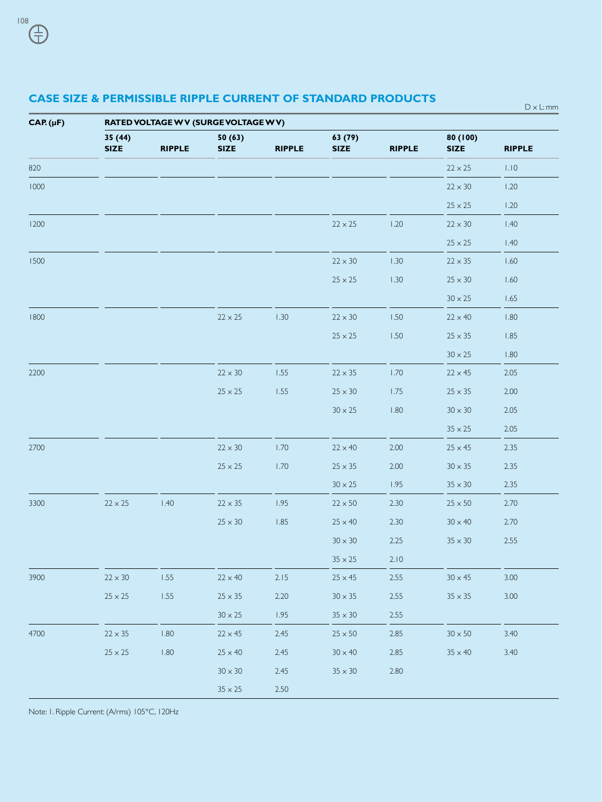D x L: mm

| $CAP. (\mu F)$ | RATED VOLTAGE W V (SURGE VOLTAGE W V) |               |                       |               |                        |               |                         |               |  |  |  |
|----------------|---------------------------------------|---------------|-----------------------|---------------|------------------------|---------------|-------------------------|---------------|--|--|--|
|                | 35(44)<br><b>SIZE</b>                 | <b>RIPPLE</b> | 50(63)<br><b>SIZE</b> | <b>RIPPLE</b> | 63 (79)<br><b>SIZE</b> | <b>RIPPLE</b> | 80 (100)<br><b>SIZE</b> | <b>RIPPLE</b> |  |  |  |
| 820            |                                       |               |                       |               |                        |               | $22 \times 25$          | 1.10          |  |  |  |
| 1000           |                                       |               |                       |               |                        |               | $22\times30$            | 1.20          |  |  |  |
|                |                                       |               |                       |               |                        |               | $25\times 25$           | 1.20          |  |  |  |
| 1200           |                                       |               |                       |               | $22\times25$           | 1.20          | $22\times30$            | 1.40          |  |  |  |
|                |                                       |               |                       |               |                        |               | $25\times 25$           | 1.40          |  |  |  |
| 1500           |                                       |               |                       |               | $22\times30$           | 1.30          | $22 \times 35$          | 1.60          |  |  |  |
|                |                                       |               |                       |               | $25\times 25$          | 1.30          | $25 \times 30$          | 1.60          |  |  |  |
|                |                                       |               |                       |               |                        |               | $30\times25$            | 1.65          |  |  |  |
| 1800           |                                       |               | $22 \times 25$        | 1.30          | $22\times30$           | 1.50          | $22 \times 40$          | 1.80          |  |  |  |
|                |                                       |               |                       |               | $25\times 25$          | 1.50          | $25 \times 35$          | 1.85          |  |  |  |
|                |                                       |               |                       |               |                        |               | $30 \times 25$          | 1.80          |  |  |  |
| 2200           |                                       |               | $22\times30$          | $1.55$        | $22 \times 35$         | 1.70          | $22 \times 45$          | 2.05          |  |  |  |
|                |                                       |               | $25\times 25$         | 1.55          | $25\times30$           | $1.75\,$      | $25\times35$            | 2.00          |  |  |  |
|                |                                       |               |                       |               | $30\times25$           | 1.80          | $30 \times 30$          | 2.05          |  |  |  |
|                |                                       |               |                       |               |                        |               | $35\times 25$           | 2.05          |  |  |  |
| 2700           |                                       |               | $22\times30$          | 1.70          | $22 \times 40$         | 2.00          | $25 \times 45$          | 2.35          |  |  |  |
|                |                                       |               | $25\times 25$         | 1.70          | $25\times35$           | 2.00          | $30 \times 35$          | 2.35          |  |  |  |
|                |                                       |               |                       |               | $30\times25$           | 1.95          | $35\times30$            | 2.35          |  |  |  |
| 3300           | $22\times25$                          | 1.40          | $22\times35$          | 1.95          | $22\times50$           | 2.30          | $25\times50$            | 2.70          |  |  |  |
|                |                                       |               | $25\times30$          | 1.85          | $25 \times 40$         | 2.30          | $30 \times 40$          | 2.70          |  |  |  |
|                |                                       |               |                       |               | $30\times30$           | 2.25          | $35\times30$            | 2.55          |  |  |  |
|                |                                       |               |                       |               | $35\times 25$          | 2.10          |                         |               |  |  |  |
| 3900           | $22\times30$                          | $1.55\,$      | $22\times 40$         | 2.15          | $25 \times 45$         | 2.55          | $30 \times 45$          | 3.00          |  |  |  |
|                | $25\times 25$                         | 1.55          | $25 \times 35$        | 2.20          | $30\times35$           | 2.55          | $35 \times 35$          | 3.00          |  |  |  |
|                |                                       |               | $30 \times 25$        | 1.95          | $35\times30$           | 2.55          |                         |               |  |  |  |
| 4700           | $22 \times 35$                        | 1.80          | $22 \times 45$        | 2.45          | $25\times50$           | 2.85          | $30\times50$            | 3.40          |  |  |  |
|                | $25\times 25$                         | $1.80\,$      | $25 \times 40$        | 2.45          | $30\times40$           | 2.85          | $35 \times 40$          | 3.40          |  |  |  |
|                |                                       |               | $30\times30$          | 2.45          | $35\times30$           | 2.80          |                         |               |  |  |  |
|                |                                       |               | $35\times 25$         | $2.50$        |                        |               |                         |               |  |  |  |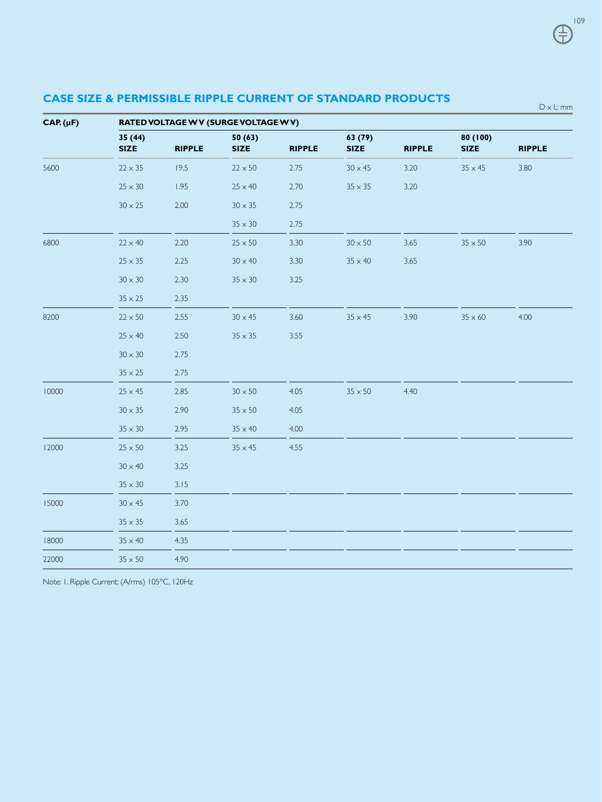| $CAP. (\mu F)$ | RATED VOLTAGE W V (SURGE VOLTAGE W V) |               |                       |               |                       |               |                         |               |  |  |  |
|----------------|---------------------------------------|---------------|-----------------------|---------------|-----------------------|---------------|-------------------------|---------------|--|--|--|
|                | 35(44)<br><b>SIZE</b>                 | <b>RIPPLE</b> | 50(63)<br><b>SIZE</b> | <b>RIPPLE</b> | 63(79)<br><b>SIZE</b> | <b>RIPPLE</b> | 80 (100)<br><b>SIZE</b> | <b>RIPPLE</b> |  |  |  |
| 5600           | $22 \times 35$                        | 19.5          | $22 \times 50$        | 2.75          | $30 \times 45$        | 3.20          | $35 \times 45$          | 3.80          |  |  |  |
|                | $25\times30$                          | 1.95          | $25 \times 40$        | 2.70          | $35 \times 35$        | 3.20          |                         |               |  |  |  |
|                | $30\times25$                          | 2.00          | $30\times35$          | 2.75          |                       |               |                         |               |  |  |  |
|                |                                       |               | $35 \times 30$        | 2.75          |                       |               |                         |               |  |  |  |
| 6800           | $22 \times 40$                        | 2.20          | $25\times50$          | 3.30          | $30 \times 50$        | 3.65          | $35 \times 50$          | 3.90          |  |  |  |
|                | $25 \times 35$                        | 2.25          | $30 \times 40$        | 3.30          | $35\times40$          | 3.65          |                         |               |  |  |  |
|                | $30\times30$                          | 2.30          | $35\times30$          | 3.25          |                       |               |                         |               |  |  |  |
|                | $35 \times 25$                        | 2.35          |                       |               |                       |               |                         |               |  |  |  |
| 8200           | $22 \times 50$                        | 2.55          | $30 \times 45$        | 3.60          | $35 \times 45$        | 3.90          | $35 \times 60$          | 4.00          |  |  |  |
|                | $25 \times 40$                        | 2.50          | $35 \times 35$        | 3.55          |                       |               |                         |               |  |  |  |
|                | $30\times30$                          | 2.75          |                       |               |                       |               |                         |               |  |  |  |
|                | $35 \times 25$                        | 2.75          |                       |               |                       |               |                         |               |  |  |  |
| 10000          | $25 \times 45$                        | 2.85          | $30 \times 50$        | 4.05          | $35 \times 50$        | 4.40          |                         |               |  |  |  |
|                | $30 \times 35$                        | 2.90          | $35 \times 50$        | 4.05          |                       |               |                         |               |  |  |  |
|                | $35\times30$                          | 2.95          | $35\times40$          | 4.00          |                       |               |                         |               |  |  |  |
| 12000          | $25\times50$                          | 3.25          | $35 \times 45$        | 4.55          |                       |               |                         |               |  |  |  |
|                | $30 \times 40$                        | 3.25          |                       |               |                       |               |                         |               |  |  |  |
|                | $35 \times 30$                        | 3.15          |                       |               |                       |               |                         |               |  |  |  |
| 15000          | $30 \times 45$                        | 3.70          |                       |               |                       |               |                         |               |  |  |  |
|                | $35\times35$                          | 3.65          |                       |               |                       |               |                         |               |  |  |  |
| 18000          | $35 \times 40$                        | 4.35          |                       |               |                       |               |                         |               |  |  |  |
| 22000          | $35 \times 50$                        | 4.90          |                       |               |                       |               |                         |               |  |  |  |

Note: 1. Ripple Current: (A/rms) 105°C, 120Hz

109 ⊕

D x L: mm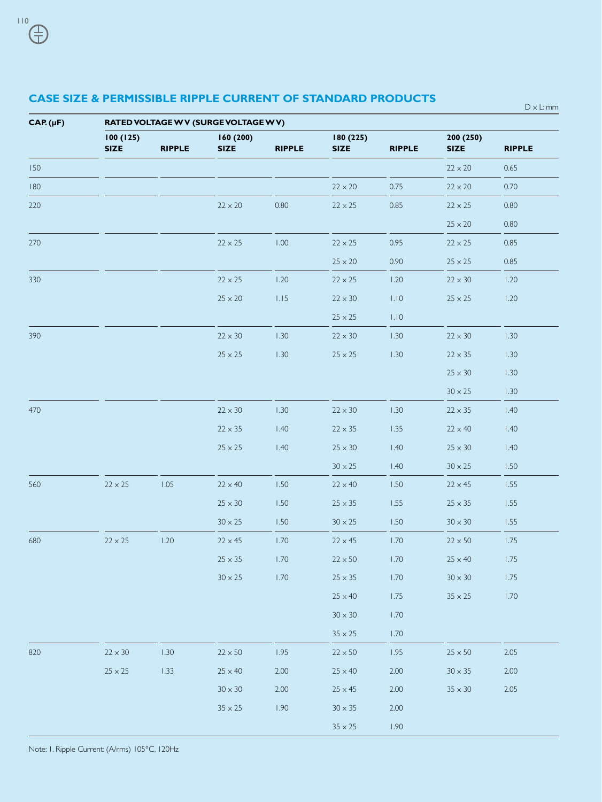$D \times L$ : mm

| $CAP.(\mu F)$ | RATED VOLTAGE W V (SURGE VOLTAGE W V) |               |                         |               |                          |               |                         |               |  |  |  |
|---------------|---------------------------------------|---------------|-------------------------|---------------|--------------------------|---------------|-------------------------|---------------|--|--|--|
|               | 100(125)<br><b>SIZE</b>               | <b>RIPPLE</b> | 160(200)<br><b>SIZE</b> | <b>RIPPLE</b> | 180 (225)<br><b>SIZE</b> | <b>RIPPLE</b> | 200(250)<br><b>SIZE</b> | <b>RIPPLE</b> |  |  |  |
| 150           |                                       |               |                         |               |                          |               | $22 \times 20$          | 0.65          |  |  |  |
| 180           |                                       |               |                         |               | $22 \times 20$           | 0.75          | $22 \times 20$          | 0.70          |  |  |  |
| 220           |                                       |               | $22\times20$            | 0.80          | $22 \times 25$           | 0.85          | $22\times25$            | 0.80          |  |  |  |
|               |                                       |               |                         |               |                          |               | $25 \times 20$          | 0.80          |  |  |  |
| 270           |                                       |               | $22 \times 25$          | 1.00          | $22 \times 25$           | 0.95          | $22 \times 25$          | 0.85          |  |  |  |
|               |                                       |               |                         |               | $25 \times 20$           | 0.90          | $25 \times 25$          | 0.85          |  |  |  |
| 330           |                                       |               | $22 \times 25$          | 1.20          | $22 \times 25$           | 1.20          | $22 \times 30$          | 1.20          |  |  |  |
|               |                                       |               | $25\times20$            | 1.15          | $22 \times 30$           | 1.10          | $25 \times 25$          | 1.20          |  |  |  |
|               |                                       |               |                         |               | $25\times 25$            | 1.10          |                         |               |  |  |  |
| 390           |                                       |               | $22\times30$            | 1.30          | $22 \times 30$           | 1.30          | $22\times30$            | 1.30          |  |  |  |
|               |                                       |               | $25\times 25$           | 1.30          | $25\times 25$            | 1.30          | $22 \times 35$          | 1.30          |  |  |  |
|               |                                       |               |                         |               |                          |               | $25 \times 30$          | 1.30          |  |  |  |
|               |                                       |               |                         |               |                          |               | $30\times25$            | 1.30          |  |  |  |
| 470           |                                       |               | $22\times30$            | 1.30          | $22\times30$             | 1.30          | $22 \times 35$          | 1.40          |  |  |  |
|               |                                       |               | $22 \times 35$          | 1.40          | $22\times35$             | 1.35          | $22 \times 40$          | 1.40          |  |  |  |
|               |                                       |               | $25\times 25$           | 1.40          | $25\times30$             | 1.40          | $25\times30$            | 1.40          |  |  |  |
|               |                                       |               |                         |               | $30\times25$             | 1.40          | $30\times25$            | 1.50          |  |  |  |
| 560           | $22 \times 25$                        | 1.05          | $22 \times 40$          | 1.50          | $22 \times 40$           | 1.50          | $22 \times 45$          | 1.55          |  |  |  |
|               |                                       |               | $25 \times 30$          | 1.50          | $25 \times 35$           | 1.55          | $25 \times 35$          | 1.55          |  |  |  |
|               |                                       |               | $30 \times 25$          | 1.50          | $30 \times 25$           | 1.50          | $30 \times 30$          | 1.55          |  |  |  |
| 680           | $22 \times 25$                        | 1.20          | $22 \times 45$          | 1.70          | $22 \times 45$           | 1.70          | $22\times50$            | 1.75          |  |  |  |
|               |                                       |               | $25 \times 35$          | 1.70          | $22 \times 50$           | 1.70          | $25 \times 40$          | 1.75          |  |  |  |
|               |                                       |               | $30\times25$            | 1.70          | $25 \times 35$           | 1.70          | $30 \times 30$          | 1.75          |  |  |  |
|               |                                       |               |                         |               | $25 \times 40$           | 1.75          | $35\times 25$           | 1.70          |  |  |  |
|               |                                       |               |                         |               | $30\times30$             | 1.70          |                         |               |  |  |  |
|               |                                       |               |                         |               | $35\times 25$            | 1.70          |                         |               |  |  |  |
| 820           | $22 \times 30$                        | 1.30          | $22\times50$            | 1.95          | $22\times50$             | 1.95          | $25\times50$            | 2.05          |  |  |  |
|               | $25\times 25$                         | 1.33          | $25 \times 40$          | 2.00          | $25 \times 40$           | 2.00          | $30 \times 35$          | 2.00          |  |  |  |
|               |                                       |               | $30\times30$            | 2.00          | $25 \times 45$           | 2.00          | $35\times30$            | 2.05          |  |  |  |
|               |                                       |               | $35\times25$            | 1.90          | $30\times35$             | 2.00          |                         |               |  |  |  |
|               |                                       |               |                         |               | $35\times 25$            | 1.90          |                         |               |  |  |  |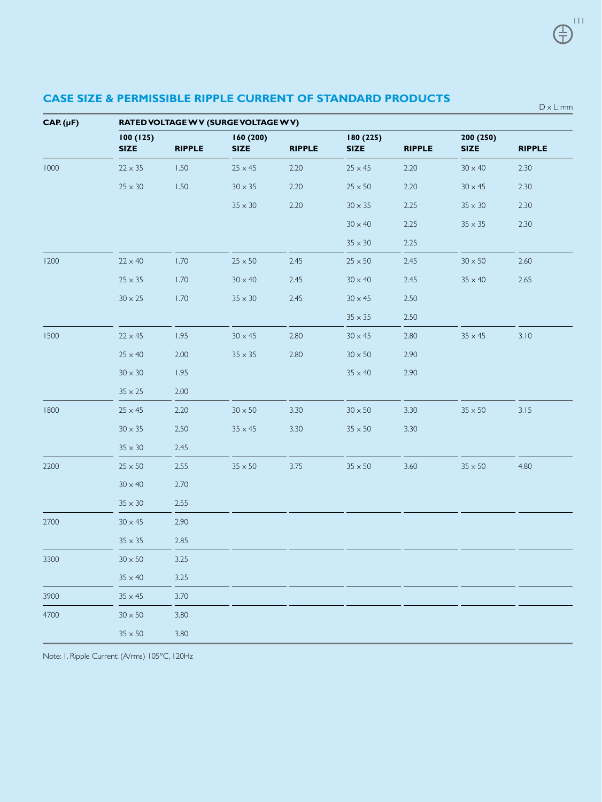| $CAP. (\mu F)$ | RATED VOLTAGE W V (SURGE VOLTAGE W V) |               |                         |               |                          |               |                          |               |  |  |  |
|----------------|---------------------------------------|---------------|-------------------------|---------------|--------------------------|---------------|--------------------------|---------------|--|--|--|
|                | 100(125)<br><b>SIZE</b>               | <b>RIPPLE</b> | 160(200)<br><b>SIZE</b> | <b>RIPPLE</b> | 180 (225)<br><b>SIZE</b> | <b>RIPPLE</b> | 200 (250)<br><b>SIZE</b> | <b>RIPPLE</b> |  |  |  |
| 1000           | $22 \times 35$                        | 1.50          | $25 \times 45$          | 2.20          | $25 \times 45$           | 2.20          | $30 \times 40$           | 2.30          |  |  |  |
|                | $25 \times 30$                        | 1.50          | $30 \times 35$          | 2.20          | $25 \times 50$           | 2.20          | $30 \times 45$           | 2.30          |  |  |  |
|                |                                       |               | $35 \times 30$          | 2.20          | $30 \times 35$           | 2.25          | $35 \times 30$           | 2.30          |  |  |  |
|                |                                       |               |                         |               | $30 \times 40$           | 2.25          | $35 \times 35$           | 2.30          |  |  |  |
|                |                                       |               |                         |               | $35 \times 30$           | 2.25          |                          |               |  |  |  |
| 1200           | $22 \times 40$                        | 1.70          | $25 \times 50$          | 2.45          | $25 \times 50$           | 2.45          | $30 \times 50$           | 2.60          |  |  |  |
|                | $25\times35$                          | 1.70          | $30 \times 40$          | 2.45          | $30 \times 40$           | 2.45          | $35 \times 40$           | 2.65          |  |  |  |
|                | $30 \times 25$                        | 1.70          | $35 \times 30$          | 2.45          | $30 \times 45$           | 2.50          |                          |               |  |  |  |
|                |                                       |               |                         |               | $35 \times 35$           | 2.50          |                          |               |  |  |  |
| 1500           | $22 \times 45$                        | 1.95          | $30 \times 45$          | 2.80          | $30 \times 45$           | 2.80          | $35 \times 45$           | 3.10          |  |  |  |
|                | $25 \times 40$                        | 2.00          | $35 \times 35$          | 2.80          | $30 \times 50$           | 2.90          |                          |               |  |  |  |
|                | $30 \times 30$                        | 1.95          |                         |               | $35 \times 40$           | 2.90          |                          |               |  |  |  |
|                | $35 \times 25$                        | 2.00          |                         |               |                          |               |                          |               |  |  |  |
| 1800           | $25 \times 45$                        | 2.20          | $30 \times 50$          | 3.30          | $30 \times 50$           | 3.30          | $35 \times 50$           | 3.15          |  |  |  |
|                | $30 \times 35$                        | 2.50          | $35 \times 45$          | 3.30          | $35 \times 50$           | 3.30          |                          |               |  |  |  |
|                | $35 \times 30$                        | 2.45          |                         |               |                          |               |                          |               |  |  |  |
| 2200           | $25 \times 50$                        | 2.55          | $35\times50$            | 3.75          | $35\times50$             | 3.60          | $35\times50$             | 4.80          |  |  |  |
|                | $30 \times 40$                        | 2.70          |                         |               |                          |               |                          |               |  |  |  |
|                | $35 \times 30$                        | 2.55          |                         |               |                          |               |                          |               |  |  |  |
| 2700           | $30 \times 45$                        | 2.90          |                         |               |                          |               |                          |               |  |  |  |
|                | $35 \times 35$                        | 2.85          |                         |               |                          |               |                          |               |  |  |  |
| 3300           | $30 \times 50$                        | 3.25          |                         |               |                          |               |                          |               |  |  |  |
|                | $35 \times 40$                        | 3.25          |                         |               |                          |               |                          |               |  |  |  |
| 3900           | $35 \times 45$                        | 3.70          |                         |               |                          |               |                          |               |  |  |  |
| 4700           | $30 \times 50$                        | 3.80          |                         |               |                          |               |                          |               |  |  |  |
|                | $35 \times 50$                        | 3.80          |                         |               |                          |               |                          |               |  |  |  |

111

王

D x L: mm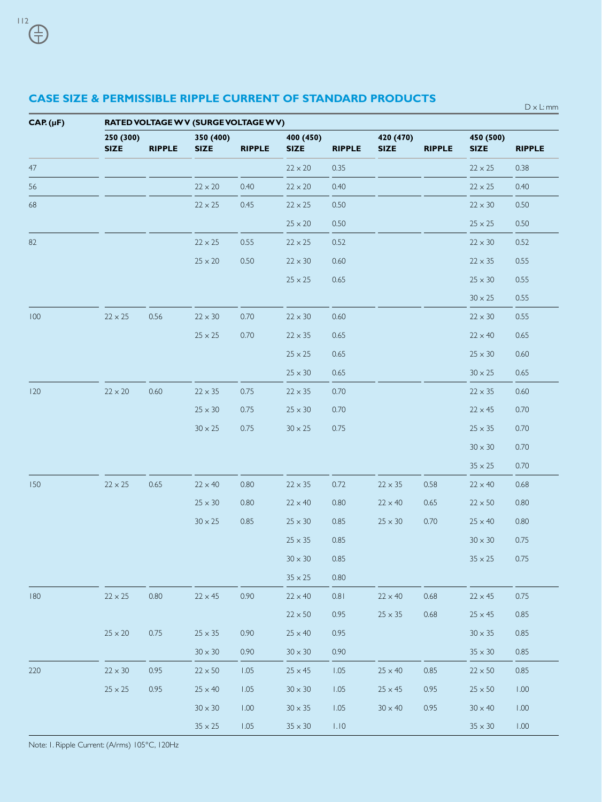D x L: mm

**CAP. (µF) RATED VOLTAGE W V (SURGE VOLTAGE W V) 250 (300) 350 (400) 400 (450) 420 (470) 450 (500) SIZE RIPPLE SIZE RIPPLE SIZE RIPPLE SIZE RIPPLE SIZE RIPPLE** 47 22 x 20  $22 \times 20$   $22 \times 20$   $235$   $22 \times 25$   $238$ 56 22 x 20  $22 \times 20$  0.40  $22 \times 20$  0.40  $22 \times 25$  0.40 68 22 x 25 0.45  $22 \times 25$  0.50  $22 \times 30$  0.50  $25 \times 20$  0.50 25  $\times 25$  0.50 82 22 x 25 0.55  $22 \times 25$  0.52  $22 \times 30$  0.52  $25 \times 20$  0.50 22 x 30 0.60 22 x 35 0.55  $25 \times 25$  0.65 25  $\times 30$  0.55  $30 \times 25$  0.55  $100$  22 x 25 0.56 22 x 30 0.70 22 x 30 0.60 22 x 30 22 x 30 0.55  $25 \times 25$  0.70  $22 \times 35$  0.65 22  $\times$  40 0.65  $25 \times 25$  0.65 25  $25 \times 30$  0.60  $25 \times 30$  0.65 30  $\times 25$  0.65  $120$  22 x 20 0.60  $22 \times 35$  0.75  $22 \times 35$  0.70 22 x 35 0.60  $25 \times 30$  0.75  $25 \times 30$  0.70 22 x 45 0.70  $30 \times 25$  0.75  $30 \times 25$  0.75 25  $25 \times 35$  0.70  $30 \times 30$  0.70  $35 \times 25$  0.70 150 22 x 25 0.65 22 x 40 0.80 22 x 35 0.72 22 x 35 0.58 22 x 40 0.68  $25 \times 30$  0.80  $22 \times 40$  0.80  $22 \times 40$  0.65  $22 \times 50$  0.80  $30 \times 25$  0.85 25 × 30 0.85 25 × 30 0.70 25 × 40 0.80  $25 \times 35$  0.85 30  $\times 30$  0.75  $30 \times 30$  0.85 35 x 25 0.75  $35 \times 25$  0.80 180 22 x 25 0.80 22 x 45 0.90 22 x 40 0.81 22 x 40 0.68 22 x 45 0.75  $22 \times 50$  0.95 25  $\times 35$  0.68 25  $\times 45$  0.85  $25 \times 20$  0.75  $25 \times 35$  0.90  $25 \times 40$  0.95 30  $\times 35$  0.85  $30 \times 30$  0.90  $30 \times 30$  0.90  $35 \times 30$  0.85 220 22 x 30 0.95 22 x 50 1.05 25 x 45 1.05 25 x 40 0.85 22 x 50 0.85  $25 \times 25$  0.95 25  $\times$  40 1.05 30  $\times$  30 1.05 25  $\times$  45 0.95 25  $\times$  50 1.00  $30 \times 30$  1.00  $30 \times 35$  1.05  $30 \times 40$  0.95  $30 \times 40$  1.00  $35 \times 25$  1.05  $35 \times 30$  1.10 35  $\times 30$  1.00